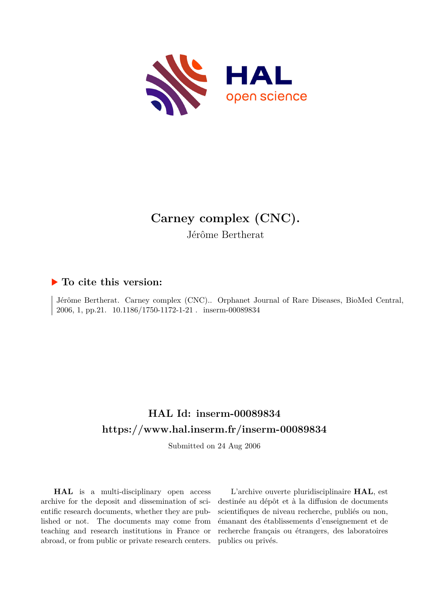

# **Carney complex (CNC).**

Jérôme Bertherat

# **To cite this version:**

Jérôme Bertherat. Carney complex (CNC).. Orphanet Journal of Rare Diseases, BioMed Central, 2006, 1, pp.21. 10.1186/1750-1172-1-21 . inserm-00089834

# **HAL Id: inserm-00089834 <https://www.hal.inserm.fr/inserm-00089834>**

Submitted on 24 Aug 2006

**HAL** is a multi-disciplinary open access archive for the deposit and dissemination of scientific research documents, whether they are published or not. The documents may come from teaching and research institutions in France or abroad, or from public or private research centers.

L'archive ouverte pluridisciplinaire **HAL**, est destinée au dépôt et à la diffusion de documents scientifiques de niveau recherche, publiés ou non, émanant des établissements d'enseignement et de recherche français ou étrangers, des laboratoires publics ou privés.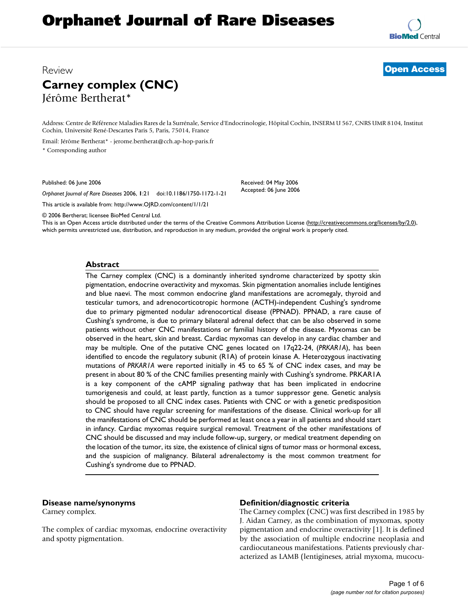# Orphanet Journal of Rare Diseases

**[BioMed](http://www.biomedcentral.com/) Central** 

## Review **[Open Access](http://www.biomedcentral.com/info/about/charter/)**

# **Carney complex (CNC)** Jérôme Bertherat\*

Address: Centre de Référence Maladies Rares de la Surrénale, Service d'Endocrinologie, Hôpital Cochin, INSERM U 567, CNRS UMR 8104, Institut Cochin, Université René-Descartes Paris 5, Paris, 75014, France

> Received: 04 May 2006 Accepted: 06 June 2006

Email: Jérôme Bertherat\* - jerome.bertherat@cch.ap-hop-paris.fr \* Corresponding author

Published: 06 June 2006

*Orphanet Journal of Rare Diseases* 2006, **1**:21 doi:10.1186/1750-1172-1-21

[This article is available from: http://www.OJRD.com/content/1/1/21](http://www.OJRD.com/content/1/1/21)

© 2006 Bertherat; licensee BioMed Central Ltd.

This is an Open Access article distributed under the terms of the Creative Commons Attribution License [\(http://creativecommons.org/licenses/by/2.0\)](http://creativecommons.org/licenses/by/2.0), which permits unrestricted use, distribution, and reproduction in any medium, provided the original work is properly cited.

#### **Abstract**

The Carney complex (CNC) is a dominantly inherited syndrome characterized by spotty skin pigmentation, endocrine overactivity and myxomas. Skin pigmentation anomalies include lentigines and blue naevi. The most common endocrine gland manifestations are acromegaly, thyroid and testicular tumors, and adrenocorticotropic hormone (ACTH)-independent Cushing's syndrome due to primary pigmented nodular adrenocortical disease (PPNAD). PPNAD, a rare cause of Cushing's syndrome, is due to primary bilateral adrenal defect that can be also observed in some patients without other CNC manifestations or familial history of the disease. Myxomas can be observed in the heart, skin and breast. Cardiac myxomas can develop in any cardiac chamber and may be multiple. One of the putative CNC genes located on 17q22-24, (*PRKAR1A*), has been identified to encode the regulatory subunit (R1A) of protein kinase A. Heterozygous inactivating mutations of *PRKAR1A* were reported initially in 45 to 65 % of CNC index cases, and may be present in about 80 % of the CNC families presenting mainly with Cushing's syndrome. PRKAR1A is a key component of the cAMP signaling pathway that has been implicated in endocrine tumorigenesis and could, at least partly, function as a tumor suppressor gene. Genetic analysis should be proposed to all CNC index cases. Patients with CNC or with a genetic predisposition to CNC should have regular screening for manifestations of the disease. Clinical work-up for all the manifestations of CNC should be performed at least once a year in all patients and should start in infancy. Cardiac myxomas require surgical removal. Treatment of the other manifestations of CNC should be discussed and may include follow-up, surgery, or medical treatment depending on the location of the tumor, its size, the existence of clinical signs of tumor mass or hormonal excess, and the suspicion of malignancy. Bilateral adrenalectomy is the most common treatment for Cushing's syndrome due to PPNAD.

#### **Disease name/synonyms**

Carney complex.

The complex of cardiac myxomas, endocrine overactivity and spotty pigmentation.

#### **Definition/diagnostic criteria**

The Carney complex (CNC) was first described in 1985 by J. Aidan Carney, as the combination of myxomas, spotty pigmentation and endocrine overactivity [1]. It is defined by the association of multiple endocrine neoplasia and cardiocutaneous manifestations. Patients previously characterized as LAMB (lentigineses, atrial myxoma, mucocu-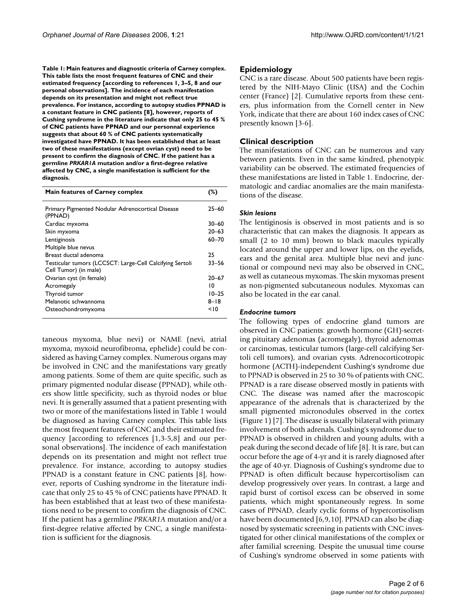**Table 1: Main features and diagnostic criteria of Carney complex. This table lists the most frequent features of CNC and their estimated frequency [according to references 1, 3–5, 8 and our personal observations]. The incidence of each manifestation depends on its presentation and might not reflect true prevalence. For instance, according to autopsy studies PPNAD is a constant feature in CNC patients [8], however, reports of Cushing syndrome in the literature indicate that only 25 to 45 % of CNC patients have PPNAD and our personnal experience suggests that about 60 % of CNC patients systematically investigated have PPNAD. It has been established that at least two of these manifestations (except ovrian cyst) need to be present to confirm the diagnosis of CNC. If the patient has a germline** *PRKAR1A* **mutation and/or a first-degree relative affected by CNC, a single manifestation is sufficient for the diagnosis.**

| <b>Main features of Carney complex</b>                                            | (%)       |
|-----------------------------------------------------------------------------------|-----------|
| Primary Pigmented Nodular Adrenocortical Disease<br>(PPNAD)                       | $25 - 60$ |
| Cardiac myxoma                                                                    | $30 - 60$ |
| Skin myxoma                                                                       | $20 - 63$ |
| Lentiginosis                                                                      | $60 - 70$ |
| Multiple blue nevus                                                               |           |
| Breast ductal adenoma                                                             | 25        |
| Testicular tumors (LCCSCT: Large-Cell Calcifying Sertoli<br>Cell Tumor) (in male) | $33 - 56$ |
| Ovarian cyst (in female)                                                          | $20 - 67$ |
| Acromegaly                                                                        | 10        |
| Thyroid tumor                                                                     | $10 - 25$ |
| Melanotic schwannoma                                                              | $8 - 18$  |
| Osteochondromyxoma                                                                | 10        |

taneous myxoma, blue nevi) or NAME (nevi, atrial myxoma, myxoid neurofibroma, ephelide) could be considered as having Carney complex. Numerous organs may be involved in CNC and the manifestations vary greatly among patients. Some of them are quite specific, such as primary pigmented nodular disease (PPNAD), while others show little specificity, such as thyroid nodes or blue nevi. It is generally assumed that a patient presenting with two or more of the manifestations listed in Table 1 would be diagnosed as having Carney complex. This table lists the most frequent features of CNC and their estimated frequency [according to references [1,3-5,8] and our personal observations]. The incidence of each manifestation depends on its presentation and might not reflect true prevalence. For instance, according to autopsy studies PPNAD is a constant feature in CNC patients [8], however, reports of Cushing syndrome in the literature indicate that only 25 to 45 % of CNC patients have PPNAD. It has been established that at least two of these manifestations need to be present to confirm the diagnosis of CNC. If the patient has a germline *PRKAR1A* mutation and/or a first-degree relative affected by CNC, a single manifestation is sufficient for the diagnosis.

#### **Epidemiology**

CNC is a rare disease. About 500 patients have been registered by the NIH-Mayo Clinic (USA) and the Cochin center (France) [2]. Cumulative reports from these centers, plus information from the Cornell center in New York, indicate that there are about 160 index cases of CNC presently known [3-6].

#### **Clinical description**

The manifestations of CNC can be numerous and vary between patients. Even in the same kindred, phenotypic variability can be observed. The estimated frequencies of these manifestations are listed in Table 1. Endocrine, dermatologic and cardiac anomalies are the main manifestations of the disease.

#### *Skin lesions*

The lentiginosis is observed in most patients and is so characteristic that can makes the diagnosis. It appears as small (2 to 10 mm) brown to black macules typically located around the upper and lower lips, on the eyelids, ears and the genital area. Multiple blue nevi and junctional or compound nevi may also be observed in CNC, as well as cutaneous myxomas. The skin myxomas present as non-pigmented subcutaneous nodules. Myxomas can also be located in the ear canal.

#### *Endocrine tumors*

The following types of endocrine gland tumors are observed in CNC patients: growth hormone (GH)-secreting pituitary adenomas (acromegaly), thyroid adenomas or carcinomas, testicular tumors (large-cell calcifying Sertoli cell tumors), and ovarian cysts. Adrenocorticotropic hormone (ACTH)-independent Cushing's syndrome due to PPNAD is observed in 25 to 30 % of patients with CNC. PPNAD is a rare disease observed mostly in patients with CNC. The disease was named after the macroscopic appearance of the adrenals that is characterized by the small pigmented micronodules observed in the cortex (Figure 1) [7]. The disease is usually bilateral with primary involvement of both adrenals. Cushing's syndrome due to PPNAD is observed in children and young adults, with a peak during the second decade of life [8]. It is rare, but can occur before the age of 4-yr and it is rarely diagnosed after the age of 40-yr. Diagnosis of Cushing's syndrome due to PPNAD is often difficult because hypercortisolism can develop progressively over years. In contrast, a large and rapid burst of cortisol excess can be observed in some patients, which might spontaneously regress. In some cases of PPNAD, clearly cyclic forms of hypercortisolism have been documented [6,9,10]. PPNAD can also be diagnosed by systematic screening in patients with CNC investigated for other clinical manifestations of the complex or after familial screening. Despite the unusual time course of Cushing's syndrome observed in some patients with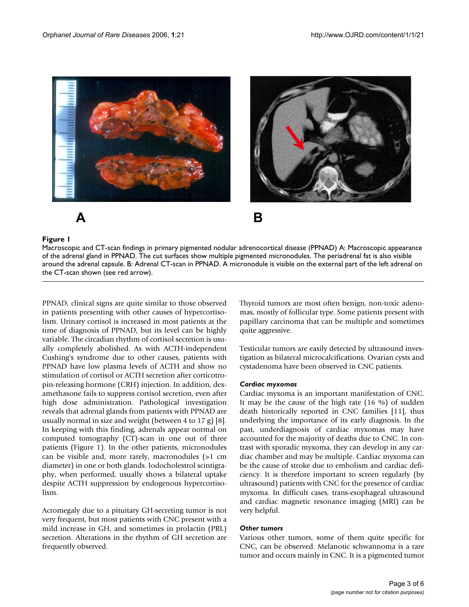

#### Macroscopic and CT-scan findings **Figure 1** in primary pigmented nodular adrenocortical disease (PPNAD)

Macroscopic and CT-scan findings in primary pigmented nodular adrenocortical disease (PPNAD) A: Macroscopic appearance of the adrenal gland in PPNAD. The cut surfaces show multiple pigmented micronodules. The periadrenal fat is also visible around the adrenal capsule. B: Adrenal CT-scan in PPNAD. A micronodule is visible on the external part of the left adrenal on the CT-scan shown (see red arrow).

PPNAD, clinical signs are quite similar to those observed in patients presenting with other causes of hypercortisolism. Urinary cortisol is increased in most patients at the time of diagnosis of PPNAD, but its level can be highly variable. The circadian rhythm of cortisol secretion is usually completely abolished. As with ACTH-independent Cushing's syndrome due to other causes, patients with PPNAD have low plasma levels of ACTH and show no stimulation of cortisol or ACTH secretion after corticotropin-releasing hormone (CRH) injection. In addition, dexamethasone fails to suppress cortisol secretion, even after high dose administration. Pathological investigation reveals that adrenal glands from patients with PPNAD are usually normal in size and weight (between 4 to 17 g) [8]. In keeping with this finding, adrenals appear normal on computed tomography (CT)-scan in one out of three patients (Figure 1). In the other patients, micronodules can be visible and, more rarely, macronodules (>1 cm diameter) in one or both glands. Iodocholestrol scintigraphy, when performed, usually shows a bilateral uptake despite ACTH suppression by endogenous hypercortisolism.

Acromegaly due to a pituitary GH-secreting tumor is not very frequent, but most patients with CNC present with a mild increase in GH, and sometimes in prolactin (PRL) secretion. Alterations in the rhythm of GH secretion are frequently observed.

Thyroid tumors are most often benign, non-toxic adenomas, mostly of follicular type. Some patients present with papillary carcinoma that can be multiple and sometimes quite aggressive.

Testicular tumors are easily detected by ultrasound investigation as bilateral microcalcifications. Ovarian cysts and cystadenoma have been observed in CNC patients.

#### *Cardiac myxomas*

Cardiac myxoma is an important manifestation of CNC. It may be the cause of the high rate (16 %) of sudden death historically reported in CNC families [11], thus underlying the importance of its early diagnosis. In the past, underdiagnosis of cardiac myxomas may have accounted for the majority of deaths due to CNC. In contrast with sporadic myxoma, they can develop in any cardiac chamber and may be multiple. Cardiac myxoma can be the cause of stroke due to embolism and cardiac deficiency. It is therefore important to screen regularly (by ultrasound) patients with CNC for the presence of cardiac myxoma. In difficult cases, trans-esophageal ultrasound and cardiac magnetic resonance imaging (MRI) can be very helpful.

#### *Other tumors*

Various other tumors, some of them quite specific for CNC, can be observed. Melanotic schwannoma is a rare tumor and occurs mainly in CNC. It is a pigmented tumor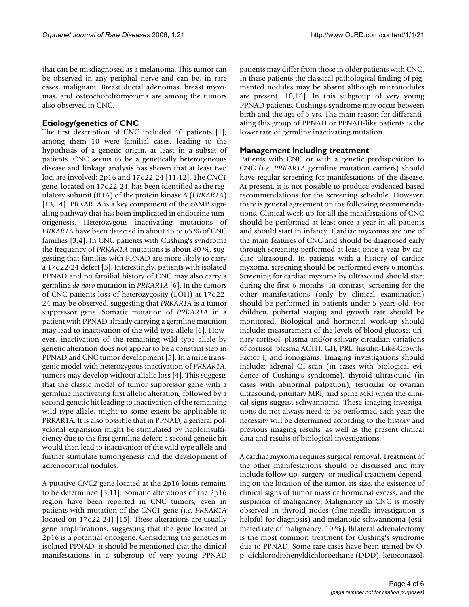that can be misdiagnosed as a melanoma. This tumor can be observed in any periphal nerve and can be, in rare cases, malignant. Breast ductal adenomas, breast myxomas, and osteochondromyxoma are among the tumors also observed in CNC.

## **Etiology/genetics of CNC**

The first description of CNC included 40 patients [1], among them 10 were familial cases, leading to the hypothesis of a genetic origin, at least in a subset of patients. CNC seems to be a genetically heterogeneous disease and linkage analysis has shown that at least two loci are involved: 2p16 and 17q22-24 [11,12]. The *CNC1* gene, located on 17q22-24, has been identified as the regulatory subunit (R1A) of the protein kinase A (*PRKAR1A*) [13,14]. PRKAR1A is a key component of the cAMP signaling pathway that has been implicated in endocrine tumorigenesis. Heterozygous inactivating mutations of *PRKAR1A* have been detected in about 45 to 65 % of CNC families [3,4]. In CNC patients with Cushing's syndrome the frequency of *PRKAR1A* mutations is about 80 %, suggesting that families with PPNAD are more likely to carry a 17q22-24 defect [5]. Interestingly, patients with isolated PPNAD and no familial history of CNC may also carry a germline *de novo* mutation in *PRKAR1A* [6]. In the tumors of CNC patients loss of heterozygosity (LOH) at 17q22- 24 may be observed, suggesting that *PRKAR1A* is a tumor suppressor gene. Somatic mutation of *PRKAR1A* in a patient with PPNAD already carrying a germline mutation may lead to inactivation of the wild type allele [6]. However, inactivation of the remaining wild type allele by genetic alteration does not appear to be a constant step in PPNAD and CNC tumor development [5]. In a mice transgenic model with heterozygous inactivation of *PRKAR1A*, tumors may develop without allelic loss [4]. This suggests that the classic model of tumor suppressor gene with a germline inactivating first allelic alteration, followed by a second genetic hit leading to inactivation of the remaining wild type allele, might to some extent be applicable to PRKAR1A. It is also possible that in PPNAD, a general polyclonal expansion might be stimulated by haploinsufficiency due to the first germline defect; a second genetic hit would then lead to inactivation of the wild type allele and further stimulate tumorigenesis and the development of adrenocortical nodules.

A putative *CNC2* gene located at the 2p16 locus remains to be determined [3,11]. Somatic alterations of the 2p16 region have been reported in CNC tumors, even in patients with mutation of the *CNC1* gene (*i.e. PRKAR1A* located on 17q22-24) [15]. These alterations are usually gene amplifications, suggesting that the gene located at 2p16 is a potential oncogene. Considering the genetics in isolated PPNAD, it should be mentioned that the clinical manifestations in a subgroup of very young PPNAD

patients may differ from those in older patients with CNC. In these patients the classical pathological finding of pigmented nodules may be absent although micronodules are present [10,16]. In this subgroup of very young PPNAD patients, Cushing's syndrome may occur between birth and the age of 5-yrs. The main reason for differentiating this group of PPNAD or PPNAD-like patients is the lower rate of germline inactivating mutation.

### **Management including treatment**

Patients with CNC or with a genetic predisposition to CNC (*i.e. PRKAR1A* germline mutation carriers) should have regular screening for manifestations of the disease. At present, it is not possible to produce evidenced-based recommendations for the screening schedule. However, there is general agreement on the following recommendations. Clinical work-up for all the manifestations of CNC should be performed at least once a year in all patients and should start in infancy. Cardiac myxomas are one of the main features of CNC and should be diagnosed early through screening performed at least once a year by cardiac ultrasound. In patients with a history of cardiac myxoma, screening should be performed every 6 months. Screening for cardiac myxoma by ultrasound should start during the first 6 months. In contrast, screening for the other manifestations (only by clinical examination) should be performed in patients under 5 years-old. For children, pubertal staging and growth rate should be monitored. Biological and hormonal work-up should include: measurement of the levels of blood glucose, urinary cortisol, plasma and/or salivary circadian variations of cortisol, plasma ACTH, GH, PRL, Insulin-Like-Growth-Factor I, and ionograms. Imaging investigations should include: adrenal CT-scan (in cases with biological evidence of Cushing's syndrome), thyroid ultrasound (in cases with abnormal palpation), testicular or ovarian ultrasound, pituitary MRI, and spine MRI when the clinical signs suggest schwannoma. These imaging investigations do not always need to be performed each year; the necessity will be determined according to the history and previous imaging results, as well as the present clinical data and results of biological investigations.

A cardiac myxoma requires surgical removal. Treatment of the other manifestations should be discussed and may include follow-up, surgery, or medical treatment depending on the location of the tumor, its size, the existence of clinical signs of tumor mass or hormonal excess, and the suspicion of malignancy. Malignancy in CNC is mostly observed in thyroid nodes (fine-needle investigation is helpful for diagnosis) and melanotic schwannoma (estimated rate of malignancy: 10 %). Bilateral adrenalectomy is the most common treatment for Cushing's syndrome due to PPNAD. Some rare cases have been treated by O, p'-dichlorodiphenyldichloroethane (DDD), ketoconazol,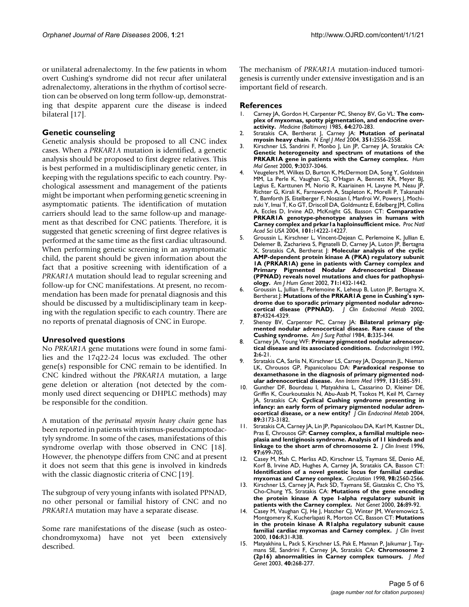or unilateral adrenalectomy. In the few patients in whom overt Cushing's syndrome did not recur after unilateral adrenalectomy, alterations in the rhythm of cortisol secretion can be observed on long term follow-up, demonstrating that despite apparent cure the disease is indeed bilateral [17].

### **Genetic counseling**

Genetic analysis should be proposed to all CNC index cases. When a *PRKAR1A* mutation is identified, a genetic analysis should be proposed to first degree relatives. This is best performed in a multidisciplinary genetic center, in keeping with the regulations specific to each country. Psychological assessment and management of the patients might be important when performing genetic screening in asymptomatic patients. The identification of mutation carriers should lead to the same follow-up and management as that described for CNC patients. Therefore, it is suggested that genetic screening of first degree relatives is performed at the same time as the first cardiac ultrasound. When performing genetic screening in an asymptomatic child, the parent should be given information about the fact that a positive screening with identification of a *PRKAR1A* mutation should lead to regular screening and follow-up for CNC manifestations. At present, no recommendation has been made for prenatal diagnosis and this should be discussed by a multidisciplinary team in keeping with the regulation specific to each country. There are no reports of prenatal diagnosis of CNC in Europe.

### **Unresolved questions**

No *PRKAR1A* gene mutations were found in some families and the 17q22-24 locus was excluded. The other gene(s) responsible for CNC remain to be identified. In CNC kindred without the *PRKAR1A* mutation, a large gene deletion or alteration (not detected by the commonly used direct sequencing or DHPLC methods) may be responsible for the condition.

A mutation of the *perinatal myosin heavy chain* gene has been reported in patients with trismus-pseudocamptodactyly syndrome. In some of the cases, manifestations of this syndrome overlap with those observed in CNC [18]. However, the phenotype differs from CNC and at present it does not seem that this gene is involved in kindreds with the classic diagnostic criteria of CNC [19].

The subgroup of very young infants with isolated PPNAD, no other personal or familial history of CNC and no *PRKAR1A* mutation may have a separate disease.

Some rare manifestations of the disease (such as osteochondromyxoma) have not yet been extensively described.

The mechanism of *PRKAR1A* mutation-induced tumorigenesis is currently under extensive investigation and is an important field of research.

### **References**

- 1. Carney JA, Gordon H, Carpenter PC, Shenoy BV, Go VL: **[The com](http://www.ncbi.nlm.nih.gov/entrez/query.fcgi?cmd=Retrieve&db=PubMed&dopt=Abstract&list_uids=4010501)[plex of myxomas, spotty pigmentation, and endocrine over](http://www.ncbi.nlm.nih.gov/entrez/query.fcgi?cmd=Retrieve&db=PubMed&dopt=Abstract&list_uids=4010501)[activity.](http://www.ncbi.nlm.nih.gov/entrez/query.fcgi?cmd=Retrieve&db=PubMed&dopt=Abstract&list_uids=4010501)** *Medicine (Baltimore)* 1985, **64:**270-283.
- 2. Stratakis CA, Bertherat J, Carney JA: **[Mutation of perinatal](http://www.ncbi.nlm.nih.gov/entrez/query.fcgi?cmd=Retrieve&db=PubMed&dopt=Abstract&list_uids=15590965) [myosin heavy chain.](http://www.ncbi.nlm.nih.gov/entrez/query.fcgi?cmd=Retrieve&db=PubMed&dopt=Abstract&list_uids=15590965)** *N Engl J Med* 2004, **351:**2556-2558.
- 3. Kirschner LS, Sandrini F, Monbo J, Lin JP, Carney JA, Stratakis CA: **[Genetic heterogeneity and spectrum of mutations of the](http://www.ncbi.nlm.nih.gov/entrez/query.fcgi?cmd=Retrieve&db=PubMed&dopt=Abstract&list_uids=11115848) [PRKAR1A gene in patients with the Carney complex.](http://www.ncbi.nlm.nih.gov/entrez/query.fcgi?cmd=Retrieve&db=PubMed&dopt=Abstract&list_uids=11115848)** *Hum Mol Genet* 2000, **9:**3037-3046.
- 4. Veugelers M, Wilkes D, Burton K, McDermott DA, Song Y, Goldstein MM, La Perle K, Vaughan CJ, O'Hagan A, Bennett KR, Meyer BJ, Legius E, Karttunen M, Norio R, Kaariainen H, Lavyne M, Neau JP, Richter G, Kirali K, Farnsworth A, Stapleton K, Morelli P, Takanashi Y, Bamforth JS, Eitelberger F, Noszian I, Manfroi W, Powers J, Mochizuki Y, Imai T, Ko GT, Driscoll DA, Goldmuntz E, Edelberg JM, Collins A, Eccles D, Irvine AD, McKnight GS, Basson CT: **[Comparative](http://www.ncbi.nlm.nih.gov/entrez/query.fcgi?cmd=Retrieve&db=PubMed&dopt=Abstract&list_uids=15371594) [PRKAR1A genotype-phenotype analyses in humans with](http://www.ncbi.nlm.nih.gov/entrez/query.fcgi?cmd=Retrieve&db=PubMed&dopt=Abstract&list_uids=15371594) [Carney complex and prkar1a haploinsufficient mice.](http://www.ncbi.nlm.nih.gov/entrez/query.fcgi?cmd=Retrieve&db=PubMed&dopt=Abstract&list_uids=15371594)** *Proc Natl Acad Sci USA* 2004, **101:**14222-14227.
- 5. Groussin L, Kirschner L, Vincent-Dejean C, Perlemoine K, Jullian E, Delemer B, Zacharieva S, Pignatelli D, Carney JA, Luton JP, Bertagna X, Stratakis CA, Bertherat J: **Molecular analysis of the cyclic AMP-dependent protein kinase A (PKA) regulatory subunit 1A (PRKAR1A) gene in patients with Carney complex and Primary Pigmented Nodular Adrenocortical Disease (PPNAD) reveals novel mutations and clues for pathophysiology.** *Am J Hum Genet* 2002, **71:**1432-1442.
- 6. Groussin L, Jullian E, Perlemoine K, Leheup B, Luton JP, Bertagna X, Bertherat J: **[Mutations of the PRKAR1A gene in Cushing's syn](http://www.ncbi.nlm.nih.gov/entrez/query.fcgi?cmd=Retrieve&db=PubMed&dopt=Abstract&list_uids=12213893)[drome due to sporadic primary pigmented nodular adreno](http://www.ncbi.nlm.nih.gov/entrez/query.fcgi?cmd=Retrieve&db=PubMed&dopt=Abstract&list_uids=12213893)[cortical disease \(PPNAD\).](http://www.ncbi.nlm.nih.gov/entrez/query.fcgi?cmd=Retrieve&db=PubMed&dopt=Abstract&list_uids=12213893)** *J Clin Endocrinol Metab* 2002, **87:**4324-4329.
- 7. Shenoy BV, Carpenter PC, Carney JA: **[Bilateral primary pig](http://www.ncbi.nlm.nih.gov/entrez/query.fcgi?cmd=Retrieve&db=PubMed&dopt=Abstract&list_uids=6329005)[mented nodular adrenocortical disease. Rare cause of the](http://www.ncbi.nlm.nih.gov/entrez/query.fcgi?cmd=Retrieve&db=PubMed&dopt=Abstract&list_uids=6329005) [Cushing syndrome.](http://www.ncbi.nlm.nih.gov/entrez/query.fcgi?cmd=Retrieve&db=PubMed&dopt=Abstract&list_uids=6329005)** *Am J Surg Pathol* 1984, **8:**335-344.
- 8. Carney JA, Young WF: **Primary pigmented nodular adrenocortical disease and its associated conditions.** *Endocrinologist* 1992, **2:**6-21.
- 9. Stratakis CA, Sarlis N, Kirschner LS, Carney JA, Doppman JL, Nieman LK, Chrousos GP, Papanicolaou DA: **[Paradoxical response to](http://www.ncbi.nlm.nih.gov/entrez/query.fcgi?cmd=Retrieve&db=PubMed&dopt=Abstract&list_uids=10523219) [dexamethasone in the diagnosis of primary pigmented nod](http://www.ncbi.nlm.nih.gov/entrez/query.fcgi?cmd=Retrieve&db=PubMed&dopt=Abstract&list_uids=10523219)[ular adrenocortical disease.](http://www.ncbi.nlm.nih.gov/entrez/query.fcgi?cmd=Retrieve&db=PubMed&dopt=Abstract&list_uids=10523219)** *Ann Intern Med* 1999, **131:**585-591.
- 10. Gunther DF, Bourdeau I, Matyakhina L, Cassarino D, Kleiner DE, Griffin K, Courkoutsakis N, Abu-Asab M, Tsokos M, Keil M, Carney JA, Stratakis CA: **[Cyclical Cushing syndrome presenting in](http://www.ncbi.nlm.nih.gov/entrez/query.fcgi?cmd=Retrieve&db=PubMed&dopt=Abstract&list_uids=15240590) [infancy: an early form of primary pigmented nodular adren](http://www.ncbi.nlm.nih.gov/entrez/query.fcgi?cmd=Retrieve&db=PubMed&dopt=Abstract&list_uids=15240590)[ocortical disease, or a new entity?](http://www.ncbi.nlm.nih.gov/entrez/query.fcgi?cmd=Retrieve&db=PubMed&dopt=Abstract&list_uids=15240590)** *J Clin Endocrinol Metab* 2004, **89:**3173-3182.
- 11. Stratakis CA, Carney JA, Lin JP, Papanicolaou DA, Karl M, Kastner DL, Pras E, Chrousos GP: **[Carney complex, a familial multiple neo](http://www.ncbi.nlm.nih.gov/entrez/query.fcgi?cmd=Retrieve&db=PubMed&dopt=Abstract&list_uids=8609225)[plasia and lentiginosis syndrome. Analysis of 11 kindreds and](http://www.ncbi.nlm.nih.gov/entrez/query.fcgi?cmd=Retrieve&db=PubMed&dopt=Abstract&list_uids=8609225) [linkage to the short arm of chromosome 2.](http://www.ncbi.nlm.nih.gov/entrez/query.fcgi?cmd=Retrieve&db=PubMed&dopt=Abstract&list_uids=8609225)** *J Clin Invest* 1996, **97:**699-705.
- 12. Casey M, Mah C, Merliss AD, Kirschner LS, Taymans SE, Denio AE, Korf B, Irvine AD, Hughes A, Carney JA, Stratakis CA, Basson CT: **[Identification of a novel genetic locus for familial cardiac](http://www.ncbi.nlm.nih.gov/entrez/query.fcgi?cmd=Retrieve&db=PubMed&dopt=Abstract&list_uids=9843463) [myxomas and Carney complex.](http://www.ncbi.nlm.nih.gov/entrez/query.fcgi?cmd=Retrieve&db=PubMed&dopt=Abstract&list_uids=9843463)** *Circulation* 1998, **98:**2560-2566.
- 13. Kirschner LS, Carney JA, Pack SD, Taymans SE, Giatzakis C, Cho YS, Cho-Chung YS, Stratakis CA: **[Mutations of the gene encoding](http://www.ncbi.nlm.nih.gov/entrez/query.fcgi?cmd=Retrieve&db=PubMed&dopt=Abstract&list_uids=10973256) [the protein kinase A type I-alpha regulatory subunit in](http://www.ncbi.nlm.nih.gov/entrez/query.fcgi?cmd=Retrieve&db=PubMed&dopt=Abstract&list_uids=10973256) [patients with the Carney complex.](http://www.ncbi.nlm.nih.gov/entrez/query.fcgi?cmd=Retrieve&db=PubMed&dopt=Abstract&list_uids=10973256)** *Nat Genet* 2000, **26:**89-92.
- 14. Casey M, Vaughan CJ, He J, Hatcher CJ, Winter JM, Weremowicz S, Montgomery K, Kucherlapati R, Morton CC, Basson CT: **[Mutations](http://www.ncbi.nlm.nih.gov/entrez/query.fcgi?cmd=Retrieve&db=PubMed&dopt=Abstract&list_uids=10974026) [in the protein kinase A R1alpha regulatory subunit cause](http://www.ncbi.nlm.nih.gov/entrez/query.fcgi?cmd=Retrieve&db=PubMed&dopt=Abstract&list_uids=10974026) [familial cardiac myxomas and Carney complex.](http://www.ncbi.nlm.nih.gov/entrez/query.fcgi?cmd=Retrieve&db=PubMed&dopt=Abstract&list_uids=10974026)** *J Clin Invest* 2000, **106:**R31-R38.
- 15. Matyakhina L, Pack S, Kirschner LS, Pak E, Mannan P, Jaikumar J, Taymans SE, Sandrini F, Carney JA, Stratakis CA: **[Chromosome 2](http://www.ncbi.nlm.nih.gov/entrez/query.fcgi?cmd=Retrieve&db=PubMed&dopt=Abstract&list_uids=12676898) [\(2p16\) abnormalities in Carney complex tumours.](http://www.ncbi.nlm.nih.gov/entrez/query.fcgi?cmd=Retrieve&db=PubMed&dopt=Abstract&list_uids=12676898)** *J Med Genet* 2003, **40:**268-277.